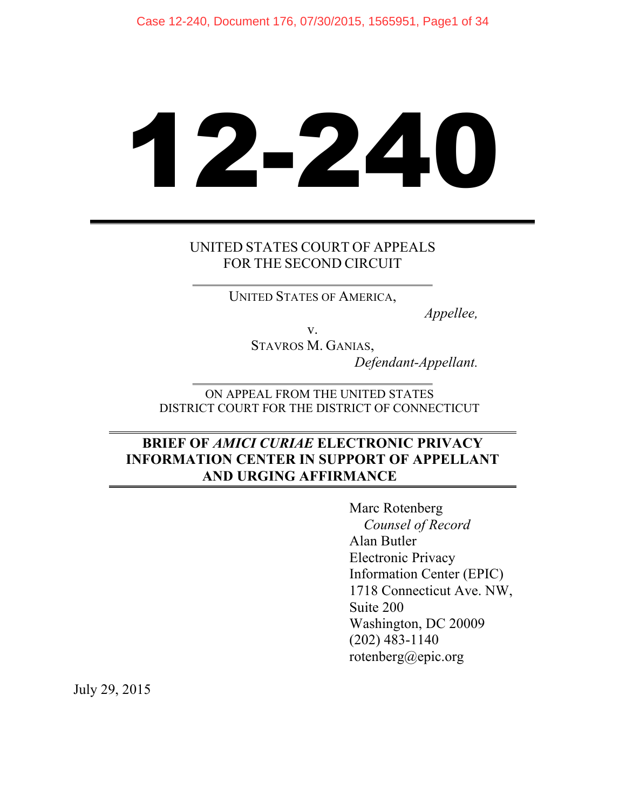# 12-240

# UNITED STATES COURT OF APPEALS FOR THE SECOND CIRCUIT

UNITED STATES OF AMERICA,

*Appellee,*

v.

STAVROS M. GANIAS, *Defendant-Appellant.*

ON APPEAL FROM THE UNITED STATES DISTRICT COURT FOR THE DISTRICT OF CONNECTICUT

# **BRIEF OF** *AMICI CURIAE* **ELECTRONIC PRIVACY INFORMATION CENTER IN SUPPORT OF APPELLANT AND URGING AFFIRMANCE**

Marc Rotenberg *Counsel of Record* Alan Butler Electronic Privacy Information Center (EPIC) 1718 Connecticut Ave. NW, Suite 200 Washington, DC 20009 (202) 483-1140 rotenberg@epic.org

July 29, 2015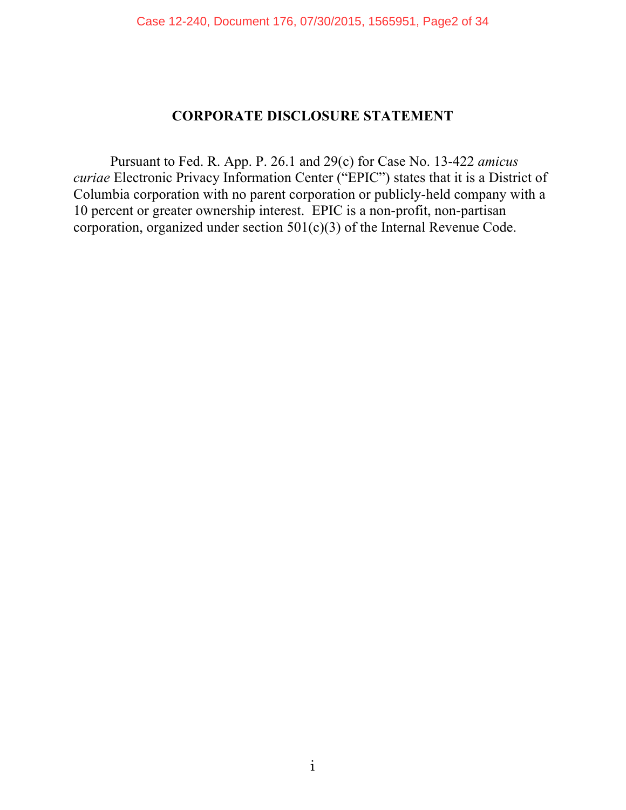### **CORPORATE DISCLOSURE STATEMENT**

Pursuant to Fed. R. App. P. 26.1 and 29(c) for Case No. 13-422 *amicus curiae* Electronic Privacy Information Center ("EPIC") states that it is a District of Columbia corporation with no parent corporation or publicly-held company with a 10 percent or greater ownership interest. EPIC is a non-profit, non-partisan corporation, organized under section 501(c)(3) of the Internal Revenue Code.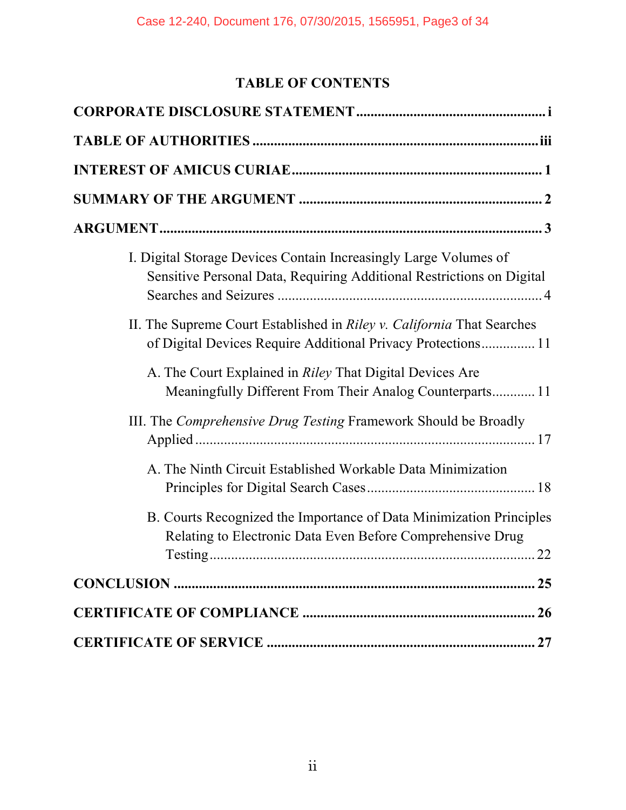# **TABLE OF CONTENTS**

| I. Digital Storage Devices Contain Increasingly Large Volumes of<br>Sensitive Personal Data, Requiring Additional Restrictions on Digital |
|-------------------------------------------------------------------------------------------------------------------------------------------|
| II. The Supreme Court Established in Riley v. California That Searches<br>of Digital Devices Require Additional Privacy Protections 11    |
| A. The Court Explained in <i>Riley</i> That Digital Devices Are<br>Meaningfully Different From Their Analog Counterparts 11               |
| III. The Comprehensive Drug Testing Framework Should be Broadly                                                                           |
| A. The Ninth Circuit Established Workable Data Minimization                                                                               |
| B. Courts Recognized the Importance of Data Minimization Principles<br>Relating to Electronic Data Even Before Comprehensive Drug         |
|                                                                                                                                           |
|                                                                                                                                           |
|                                                                                                                                           |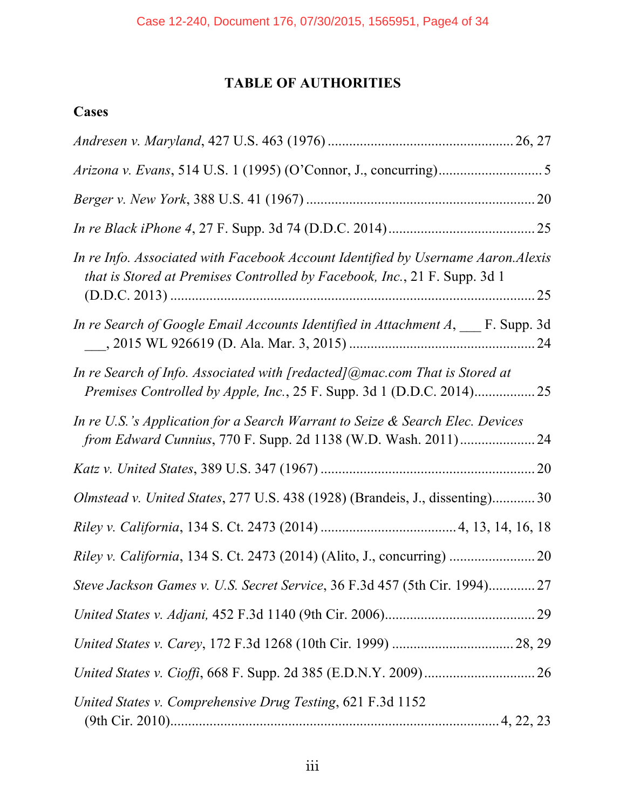# **TABLE OF AUTHORITIES**

# **Cases**

| In re Info. Associated with Facebook Account Identified by Username Aaron. Alexis<br><i>that is Stored at Premises Controlled by Facebook, Inc., 21 F. Supp. 3d 1</i> |
|-----------------------------------------------------------------------------------------------------------------------------------------------------------------------|
| In re Search of Google Email Accounts Identified in Attachment $A, \_\_\$ F. Supp. 3d                                                                                 |
| In re Search of Info. Associated with [redacted] @mac.com That is Stored at                                                                                           |
| In re U.S.'s Application for a Search Warrant to Seize & Search Elec. Devices                                                                                         |
|                                                                                                                                                                       |
| Olmstead v. United States, 277 U.S. 438 (1928) (Brandeis, J., dissenting) 30                                                                                          |
|                                                                                                                                                                       |
|                                                                                                                                                                       |
| Steve Jackson Games v. U.S. Secret Service, 36 F.3d 457 (5th Cir. 1994) 27                                                                                            |
|                                                                                                                                                                       |
|                                                                                                                                                                       |
|                                                                                                                                                                       |
| United States v. Comprehensive Drug Testing, 621 F.3d 1152                                                                                                            |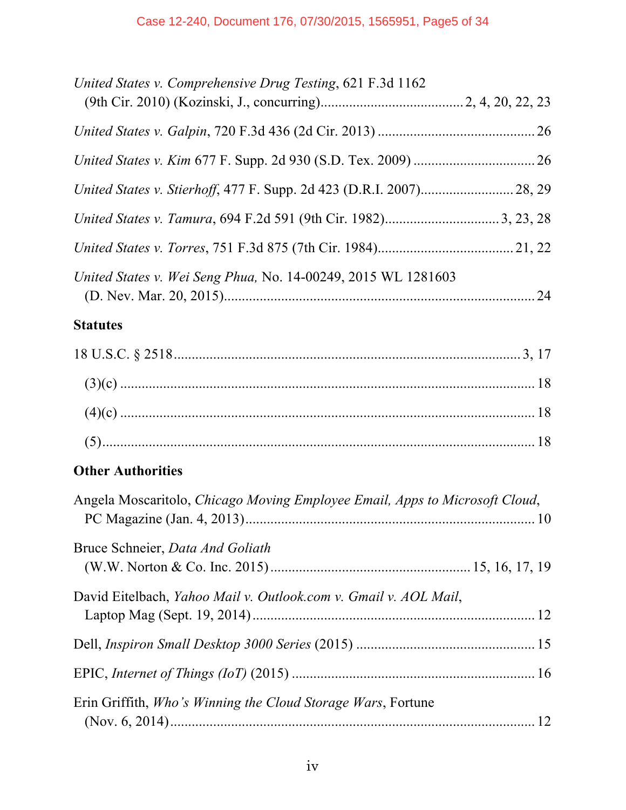| United States v. Comprehensive Drug Testing, 621 F.3d 1162                  |  |
|-----------------------------------------------------------------------------|--|
|                                                                             |  |
|                                                                             |  |
|                                                                             |  |
|                                                                             |  |
|                                                                             |  |
| United States v. Wei Seng Phua, No. 14-00249, 2015 WL 1281603               |  |
| <b>Statutes</b>                                                             |  |
|                                                                             |  |
|                                                                             |  |
|                                                                             |  |
|                                                                             |  |
| <b>Other Authorities</b>                                                    |  |
| Angela Moscaritolo, Chicago Moving Employee Email, Apps to Microsoft Cloud, |  |
| Bruce Schneier, Data And Goliath                                            |  |
| David Eitelbach, Yahoo Mail v. Outlook.com v. Gmail v. AOL Mail,            |  |
|                                                                             |  |
|                                                                             |  |
| Erin Griffith, <i>Who's Winning the Cloud Storage Wars</i> , Fortune        |  |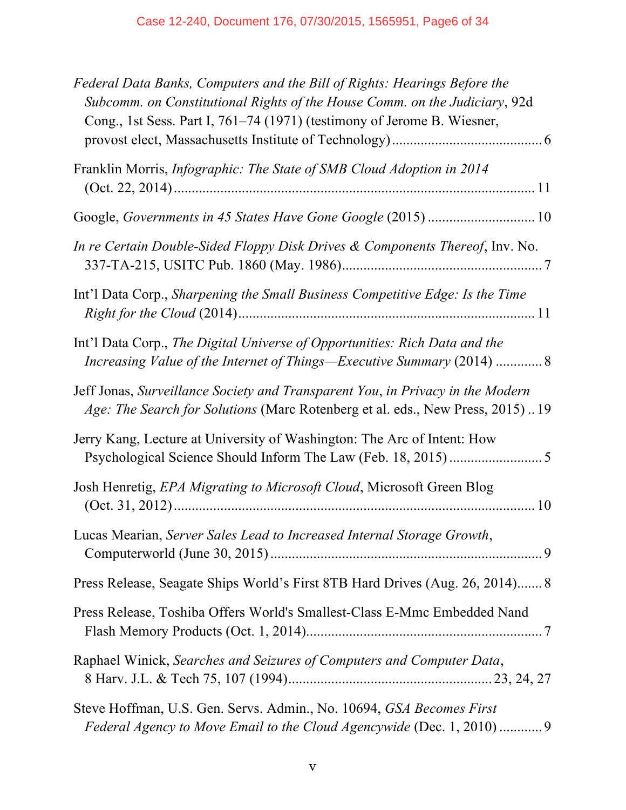| Federal Data Banks, Computers and the Bill of Rights: Hearings Before the<br>Subcomm. on Constitutional Rights of the House Comm. on the Judiciary, 92d<br>Cong., 1st Sess. Part I, 761–74 (1971) (testimony of Jerome B. Wiesner, |
|------------------------------------------------------------------------------------------------------------------------------------------------------------------------------------------------------------------------------------|
| Franklin Morris, <i>Infographic: The State of SMB Cloud Adoption in 2014</i>                                                                                                                                                       |
|                                                                                                                                                                                                                                    |
| In re Certain Double-Sided Floppy Disk Drives & Components Thereof, Inv. No.                                                                                                                                                       |
| Int'l Data Corp., Sharpening the Small Business Competitive Edge: Is the Time                                                                                                                                                      |
| Int'l Data Corp., The Digital Universe of Opportunities: Rich Data and the<br>Increasing Value of the Internet of Things—Executive Summary (2014)  8                                                                               |
| Jeff Jonas, Surveillance Society and Transparent You, in Privacy in the Modern<br>Age: The Search for Solutions (Marc Rotenberg et al. eds., New Press, 2015)19                                                                    |
| Jerry Kang, Lecture at University of Washington: The Arc of Intent: How                                                                                                                                                            |
| Josh Henretig, EPA Migrating to Microsoft Cloud, Microsoft Green Blog                                                                                                                                                              |
| Lucas Mearian, Server Sales Lead to Increased Internal Storage Growth,                                                                                                                                                             |
| Press Release, Seagate Ships World's First 8TB Hard Drives (Aug. 26, 2014) 8                                                                                                                                                       |
| Press Release, Toshiba Offers World's Smallest-Class E-Mmc Embedded Nand                                                                                                                                                           |
| Raphael Winick, Searches and Seizures of Computers and Computer Data,                                                                                                                                                              |
| Steve Hoffman, U.S. Gen. Servs. Admin., No. 10694, GSA Becomes First<br>Federal Agency to Move Email to the Cloud Agencywide (Dec. 1, 2010)  9                                                                                     |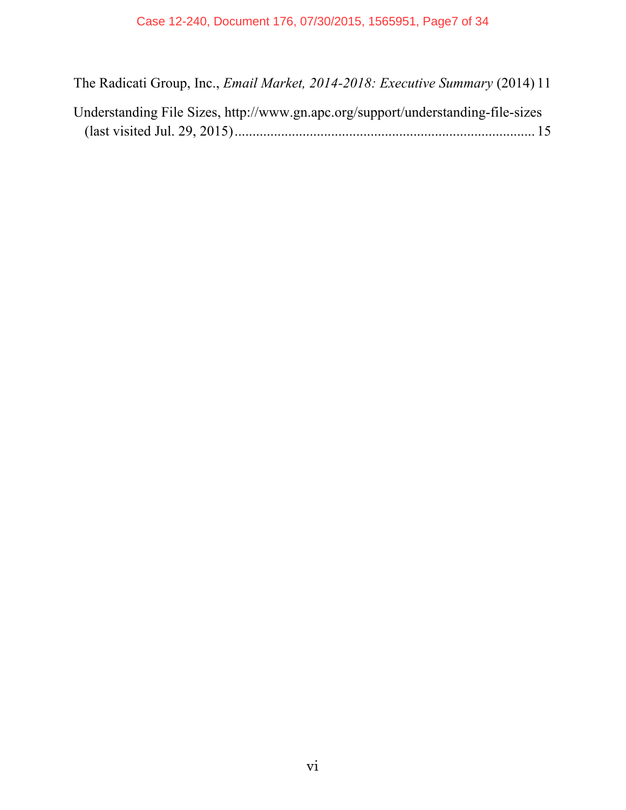The Radicati Group, Inc., *Email Market, 2014-2018: Executive Summary* (2014) 11

Understanding File Sizes, http://www.gn.apc.org/support/understanding-file-sizes (last visited Jul. 29, 2015).................................................................................... 15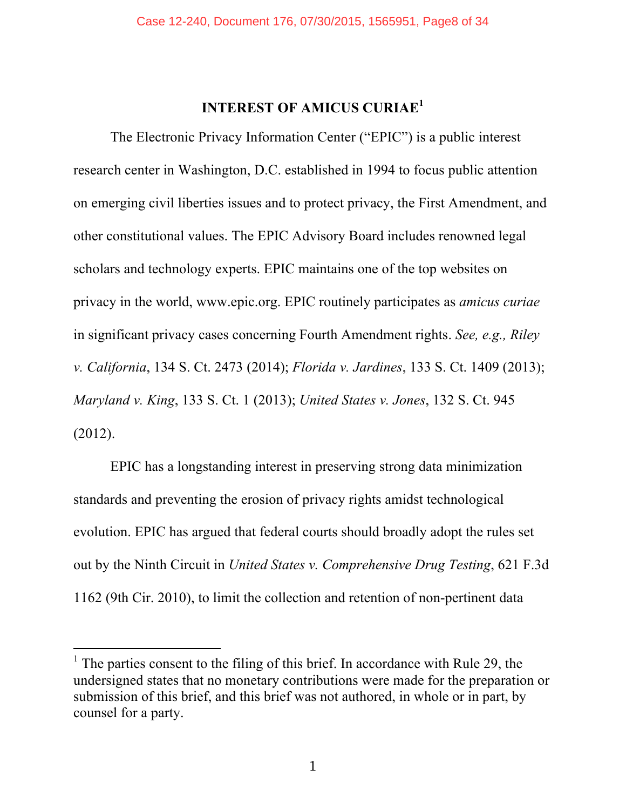# **INTEREST OF AMICUS CURIAE<sup>1</sup>**

The Electronic Privacy Information Center ("EPIC") is a public interest research center in Washington, D.C. established in 1994 to focus public attention on emerging civil liberties issues and to protect privacy, the First Amendment, and other constitutional values. The EPIC Advisory Board includes renowned legal scholars and technology experts. EPIC maintains one of the top websites on privacy in the world, www.epic.org. EPIC routinely participates as *amicus curiae* in significant privacy cases concerning Fourth Amendment rights. *See, e.g., Riley v. California*, 134 S. Ct. 2473 (2014); *Florida v. Jardines*, 133 S. Ct. 1409 (2013); *Maryland v. King*, 133 S. Ct. 1 (2013); *United States v. Jones*, 132 S. Ct. 945 (2012).

EPIC has a longstanding interest in preserving strong data minimization standards and preventing the erosion of privacy rights amidst technological evolution. EPIC has argued that federal courts should broadly adopt the rules set out by the Ninth Circuit in *United States v. Comprehensive Drug Testing*, 621 F.3d 1162 (9th Cir. 2010), to limit the collection and retention of non-pertinent data

<sup>&</sup>lt;sup>1</sup> The parties consent to the filing of this brief. In accordance with Rule 29, the undersigned states that no monetary contributions were made for the preparation or submission of this brief, and this brief was not authored, in whole or in part, by counsel for a party.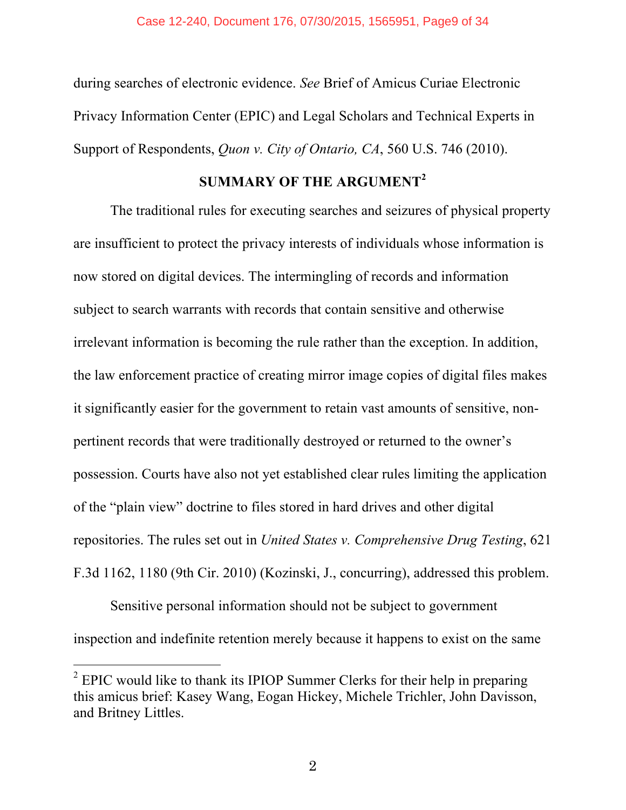during searches of electronic evidence. *See* Brief of Amicus Curiae Electronic Privacy Information Center (EPIC) and Legal Scholars and Technical Experts in Support of Respondents, *Quon v. City of Ontario, CA*, 560 U.S. 746 (2010).

# **SUMMARY OF THE ARGUMENT<sup>2</sup>**

The traditional rules for executing searches and seizures of physical property are insufficient to protect the privacy interests of individuals whose information is now stored on digital devices. The intermingling of records and information subject to search warrants with records that contain sensitive and otherwise irrelevant information is becoming the rule rather than the exception. In addition, the law enforcement practice of creating mirror image copies of digital files makes it significantly easier for the government to retain vast amounts of sensitive, nonpertinent records that were traditionally destroyed or returned to the owner's possession. Courts have also not yet established clear rules limiting the application of the "plain view" doctrine to files stored in hard drives and other digital repositories. The rules set out in *United States v. Comprehensive Drug Testing*, 621 F.3d 1162, 1180 (9th Cir. 2010) (Kozinski, J., concurring), addressed this problem.

Sensitive personal information should not be subject to government inspection and indefinite retention merely because it happens to exist on the same

 $2^2$  EPIC would like to thank its IPIOP Summer Clerks for their help in preparing this amicus brief: Kasey Wang, Eogan Hickey, Michele Trichler, John Davisson, and Britney Littles.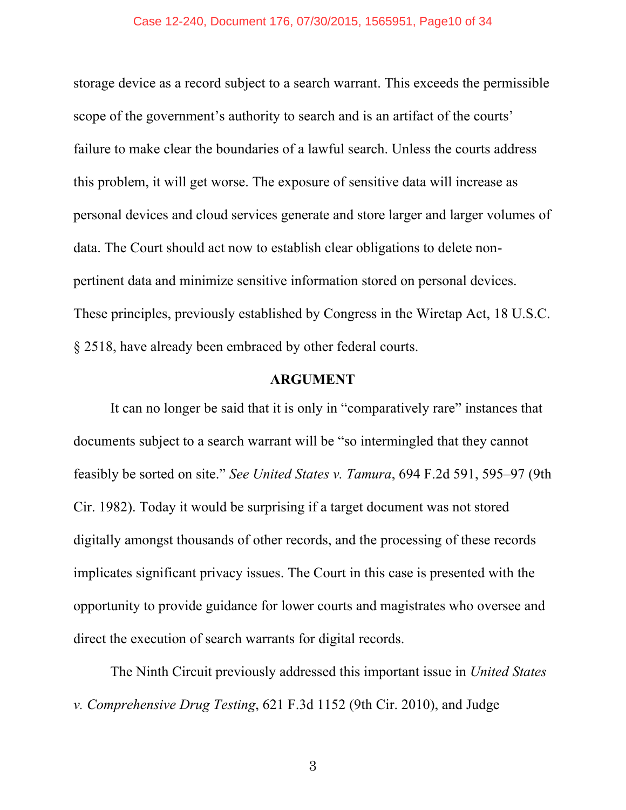#### Case 12-240, Document 176, 07/30/2015, 1565951, Page10 of 34

storage device as a record subject to a search warrant. This exceeds the permissible scope of the government's authority to search and is an artifact of the courts' failure to make clear the boundaries of a lawful search. Unless the courts address this problem, it will get worse. The exposure of sensitive data will increase as personal devices and cloud services generate and store larger and larger volumes of data. The Court should act now to establish clear obligations to delete nonpertinent data and minimize sensitive information stored on personal devices. These principles, previously established by Congress in the Wiretap Act, 18 U.S.C. § 2518, have already been embraced by other federal courts.

#### **ARGUMENT**

It can no longer be said that it is only in "comparatively rare" instances that documents subject to a search warrant will be "so intermingled that they cannot feasibly be sorted on site." *See United States v. Tamura*, 694 F.2d 591, 595–97 (9th Cir. 1982). Today it would be surprising if a target document was not stored digitally amongst thousands of other records, and the processing of these records implicates significant privacy issues. The Court in this case is presented with the opportunity to provide guidance for lower courts and magistrates who oversee and direct the execution of search warrants for digital records.

The Ninth Circuit previously addressed this important issue in *United States v. Comprehensive Drug Testing*, 621 F.3d 1152 (9th Cir. 2010), and Judge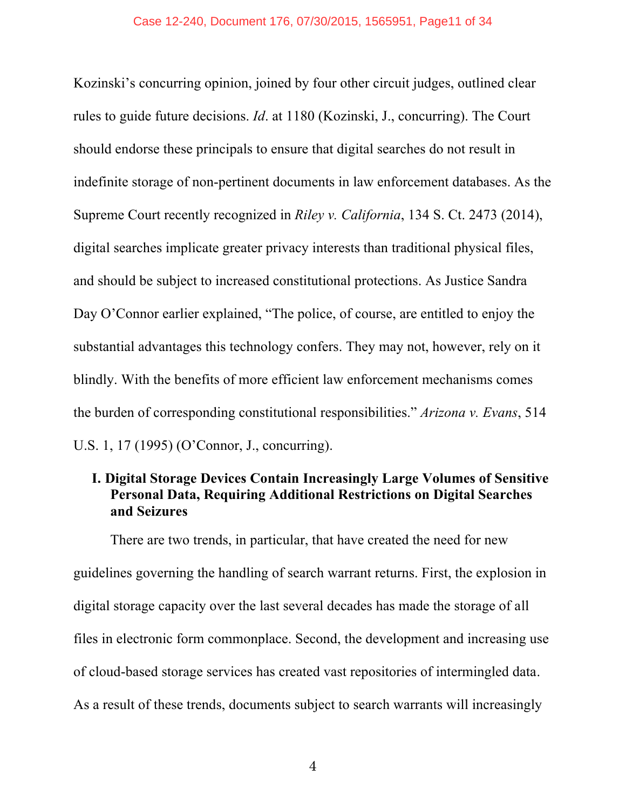Kozinski's concurring opinion, joined by four other circuit judges, outlined clear rules to guide future decisions. *Id*. at 1180 (Kozinski, J., concurring). The Court should endorse these principals to ensure that digital searches do not result in indefinite storage of non-pertinent documents in law enforcement databases. As the Supreme Court recently recognized in *Riley v. California*, 134 S. Ct. 2473 (2014), digital searches implicate greater privacy interests than traditional physical files, and should be subject to increased constitutional protections. As Justice Sandra Day O'Connor earlier explained, "The police, of course, are entitled to enjoy the substantial advantages this technology confers. They may not, however, rely on it blindly. With the benefits of more efficient law enforcement mechanisms comes the burden of corresponding constitutional responsibilities." *Arizona v. Evans*, 514 U.S. 1, 17 (1995) (O'Connor, J., concurring).

# **I. Digital Storage Devices Contain Increasingly Large Volumes of Sensitive Personal Data, Requiring Additional Restrictions on Digital Searches and Seizures**

There are two trends, in particular, that have created the need for new guidelines governing the handling of search warrant returns. First, the explosion in digital storage capacity over the last several decades has made the storage of all files in electronic form commonplace. Second, the development and increasing use of cloud-based storage services has created vast repositories of intermingled data. As a result of these trends, documents subject to search warrants will increasingly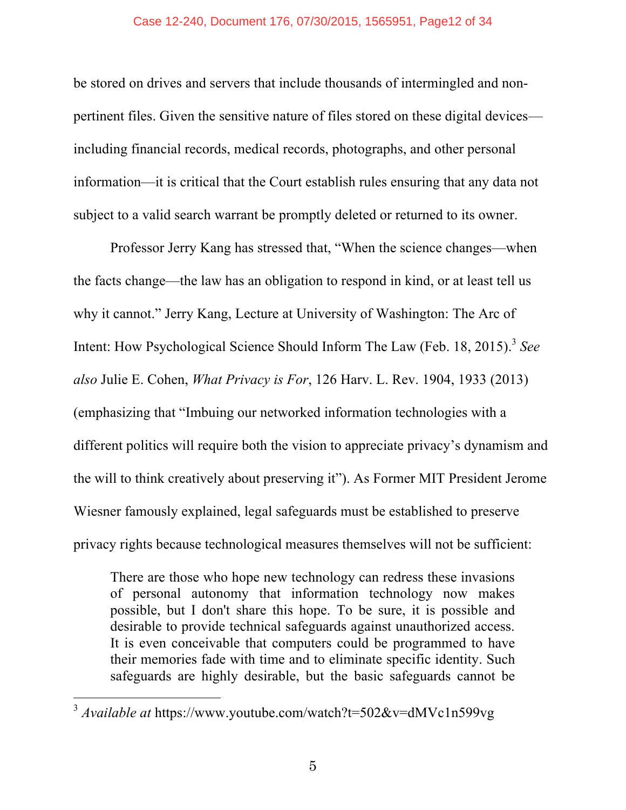be stored on drives and servers that include thousands of intermingled and nonpertinent files. Given the sensitive nature of files stored on these digital devices including financial records, medical records, photographs, and other personal information—it is critical that the Court establish rules ensuring that any data not subject to a valid search warrant be promptly deleted or returned to its owner.

Professor Jerry Kang has stressed that, "When the science changes—when the facts change—the law has an obligation to respond in kind, or at least tell us why it cannot." Jerry Kang, Lecture at University of Washington: The Arc of Intent: How Psychological Science Should Inform The Law (Feb. 18, 2015). <sup>3</sup> *See also* Julie E. Cohen, *What Privacy is For*, 126 Harv. L. Rev. 1904, 1933 (2013) (emphasizing that "Imbuing our networked information technologies with a different politics will require both the vision to appreciate privacy's dynamism and the will to think creatively about preserving it"). As Former MIT President Jerome Wiesner famously explained, legal safeguards must be established to preserve privacy rights because technological measures themselves will not be sufficient:

There are those who hope new technology can redress these invasions of personal autonomy that information technology now makes possible, but I don't share this hope. To be sure, it is possible and desirable to provide technical safeguards against unauthorized access. It is even conceivable that computers could be programmed to have their memories fade with time and to eliminate specific identity. Such safeguards are highly desirable, but the basic safeguards cannot be

<sup>3</sup> *Available at* https://www.youtube.com/watch?t=502&v=dMVc1n599vg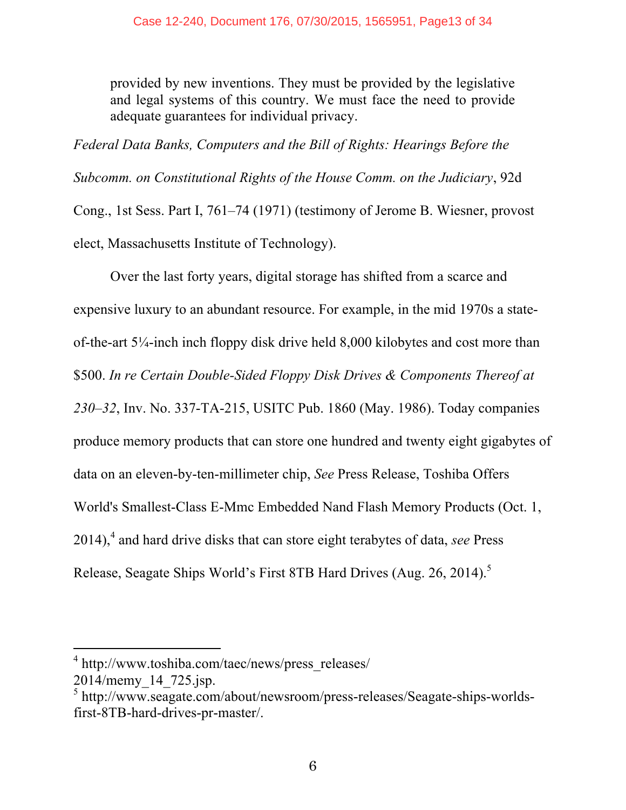provided by new inventions. They must be provided by the legislative and legal systems of this country. We must face the need to provide adequate guarantees for individual privacy.

*Federal Data Banks, Computers and the Bill of Rights: Hearings Before the Subcomm. on Constitutional Rights of the House Comm. on the Judiciary*, 92d Cong., 1st Sess. Part I, 761–74 (1971) (testimony of Jerome B. Wiesner, provost elect, Massachusetts Institute of Technology).

Over the last forty years, digital storage has shifted from a scarce and expensive luxury to an abundant resource. For example, in the mid 1970s a stateof-the-art 5¼-inch inch floppy disk drive held 8,000 kilobytes and cost more than \$500. *In re Certain Double-Sided Floppy Disk Drives & Components Thereof at 230–32*, Inv. No. 337-TA-215, USITC Pub. 1860 (May. 1986). Today companies produce memory products that can store one hundred and twenty eight gigabytes of data on an eleven-by-ten-millimeter chip, *See* Press Release, Toshiba Offers World's Smallest-Class E-Mmc Embedded Nand Flash Memory Products (Oct. 1, 2014), <sup>4</sup> and hard drive disks that can store eight terabytes of data, *see* Press Release, Seagate Ships World's First 8TB Hard Drives (Aug. 26, 2014).<sup>5</sup>

<sup>&</sup>lt;sup>4</sup> http://www.toshiba.com/taec/news/press\_releases/

<sup>2014/</sup>memy\_14\_725.jsp. <sup>5</sup> http://www.seagate.com/about/newsroom/press-releases/Seagate-ships-worldsfirst-8TB-hard-drives-pr-master/.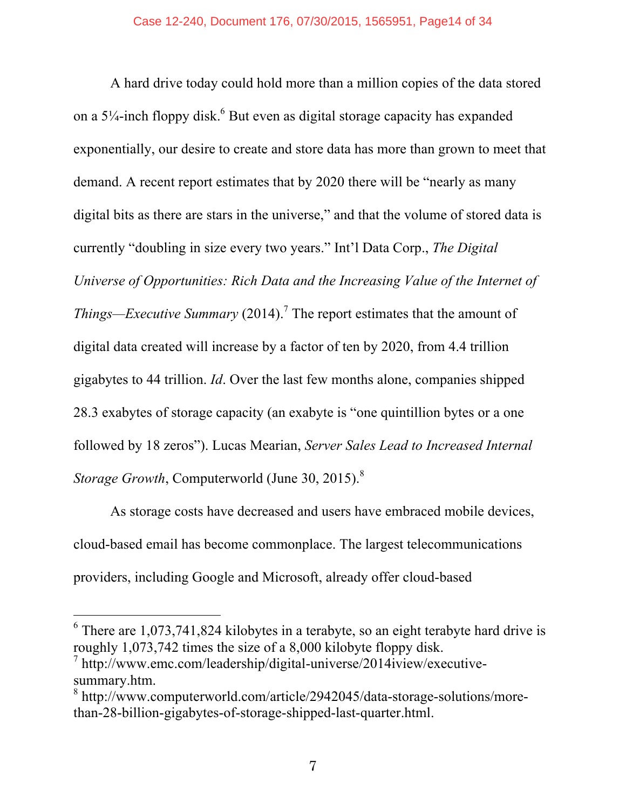A hard drive today could hold more than a million copies of the data stored on a  $5\frac{1}{4}$ -inch floppy disk.<sup>6</sup> But even as digital storage capacity has expanded exponentially, our desire to create and store data has more than grown to meet that demand. A recent report estimates that by 2020 there will be "nearly as many digital bits as there are stars in the universe," and that the volume of stored data is currently "doubling in size every two years." Int'l Data Corp., *The Digital Universe of Opportunities: Rich Data and the Increasing Value of the Internet of Things—Executive Summary* (2014). <sup>7</sup> The report estimates that the amount of digital data created will increase by a factor of ten by 2020, from 4.4 trillion gigabytes to 44 trillion. *Id*. Over the last few months alone, companies shipped 28.3 exabytes of storage capacity (an exabyte is "one quintillion bytes or a one followed by 18 zeros"). Lucas Mearian, *Server Sales Lead to Increased Internal Storage Growth*, Computerworld (June 30, 2015). 8

As storage costs have decreased and users have embraced mobile devices, cloud-based email has become commonplace. The largest telecommunications providers, including Google and Microsoft, already offer cloud-based

 $6$  There are 1,073,741,824 kilobytes in a terabyte, so an eight terabyte hard drive is roughly 1,073,742 times the size of a 8,000 kilobyte floppy disk.

 $\frac{7}{1}$  http://www.emc.com/leadership/digital-universe/2014iview/executivesummary.htm.

<sup>8</sup> http://www.computerworld.com/article/2942045/data-storage-solutions/morethan-28-billion-gigabytes-of-storage-shipped-last-quarter.html.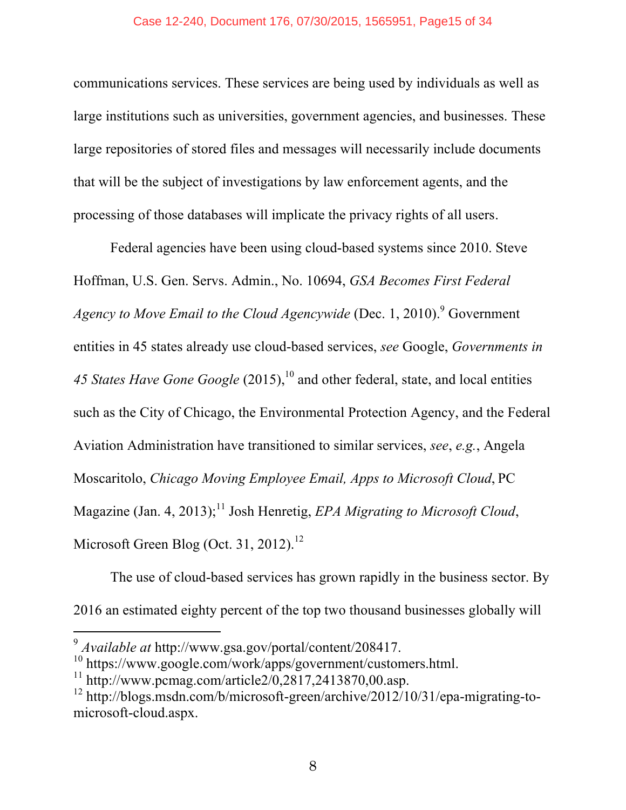communications services. These services are being used by individuals as well as large institutions such as universities, government agencies, and businesses. These large repositories of stored files and messages will necessarily include documents that will be the subject of investigations by law enforcement agents, and the processing of those databases will implicate the privacy rights of all users.

Federal agencies have been using cloud-based systems since 2010. Steve Hoffman, U.S. Gen. Servs. Admin., No. 10694, *GSA Becomes First Federal Agency to Move Email to the Cloud Agencywide* (Dec. 1, 2010). <sup>9</sup> Government entities in 45 states already use cloud-based services, *see* Google, *Governments in 45 States Have Gone Google* (2015), <sup>10</sup> and other federal, state, and local entities such as the City of Chicago, the Environmental Protection Agency, and the Federal Aviation Administration have transitioned to similar services, *see*, *e.g.*, Angela Moscaritolo, *Chicago Moving Employee Email, Apps to Microsoft Cloud*, PC Magazine (Jan. 4, 2013); <sup>11</sup> Josh Henretig, *EPA Migrating to Microsoft Cloud*, Microsoft Green Blog (Oct. 31, 2012).<sup>12</sup>

The use of cloud-based services has grown rapidly in the business sector. By 2016 an estimated eighty percent of the top two thousand businesses globally will

<sup>9</sup> *Available at* http://www.gsa.gov/portal/content/208417.

 $10$  https://www.google.com/work/apps/government/customers.html.

 $11 \text{ http://www.pcmag.com/article} 2/0,2817,2413870,00.\text{asp.}$ 

 $12 \text{ http://blogs.msdn.com/b/microsoft-green/archive/2012/10/31/epa-migrating-to-}$ microsoft-cloud.aspx.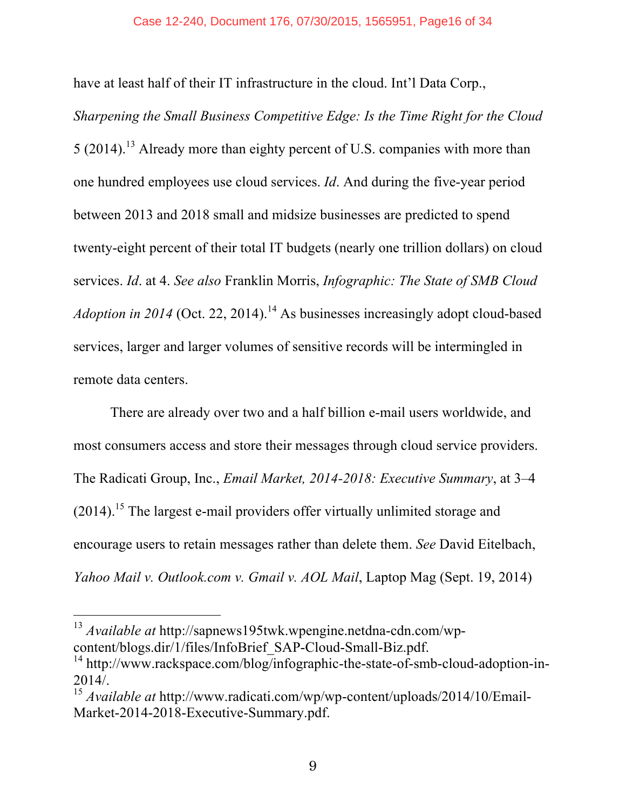have at least half of their IT infrastructure in the cloud. Int'l Data Corp.,

*Sharpening the Small Business Competitive Edge: Is the Time Right for the Cloud* 5 (2014).<sup>13</sup> Already more than eighty percent of U.S. companies with more than one hundred employees use cloud services. *Id*. And during the five-year period between 2013 and 2018 small and midsize businesses are predicted to spend twenty-eight percent of their total IT budgets (nearly one trillion dollars) on cloud services. *Id*. at 4. *See also* Franklin Morris, *Infographic: The State of SMB Cloud Adoption in 2014* (Oct. 22, 2014). <sup>14</sup> As businesses increasingly adopt cloud-based services, larger and larger volumes of sensitive records will be intermingled in remote data centers.

There are already over two and a half billion e-mail users worldwide, and most consumers access and store their messages through cloud service providers. The Radicati Group, Inc., *Email Market, 2014-2018: Executive Summary*, at 3–4  $(2014)$ .<sup>15</sup> The largest e-mail providers offer virtually unlimited storage and encourage users to retain messages rather than delete them. *See* David Eitelbach, *Yahoo Mail v. Outlook.com v. Gmail v. AOL Mail*, Laptop Mag (Sept. 19, 2014)

<sup>13</sup> *Available at* http://sapnews195twk.wpengine.netdna-cdn.com/wpcontent/blogs.dir/1/files/InfoBrief\_SAP-Cloud-Small-Biz.pdf.

<sup>&</sup>lt;sup>14</sup> http://www.rackspace.com/blog/infographic-the-state-of-smb-cloud-adoption-in-2014/.

<sup>15</sup> *Available at* http://www.radicati.com/wp/wp-content/uploads/2014/10/Email-Market-2014-2018-Executive-Summary.pdf.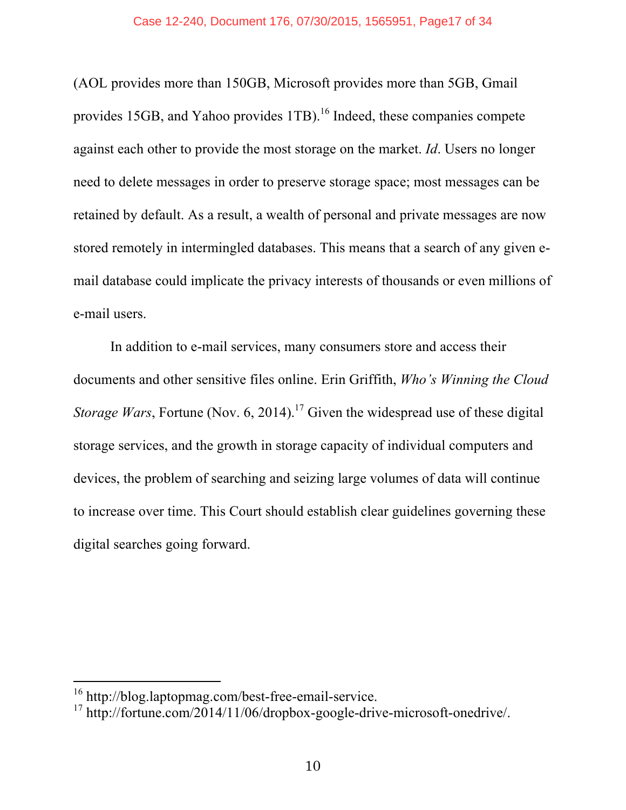(AOL provides more than 150GB, Microsoft provides more than 5GB, Gmail provides 15GB, and Yahoo provides  $1TB$ ).<sup>16</sup> Indeed, these companies compete against each other to provide the most storage on the market. *Id*. Users no longer need to delete messages in order to preserve storage space; most messages can be retained by default. As a result, a wealth of personal and private messages are now stored remotely in intermingled databases. This means that a search of any given email database could implicate the privacy interests of thousands or even millions of e-mail users.

In addition to e-mail services, many consumers store and access their documents and other sensitive files online. Erin Griffith, *Who's Winning the Cloud Storage Wars*, Fortune (Nov. 6, 2014).<sup>17</sup> Given the widespread use of these digital storage services, and the growth in storage capacity of individual computers and devices, the problem of searching and seizing large volumes of data will continue to increase over time. This Court should establish clear guidelines governing these digital searches going forward.

<sup>&</sup>lt;sup>16</sup> http://blog.laptopmag.com/best-free-email-service.

<sup>&</sup>lt;sup>17</sup> http://fortune.com/2014/11/06/dropbox-google-drive-microsoft-onedrive/.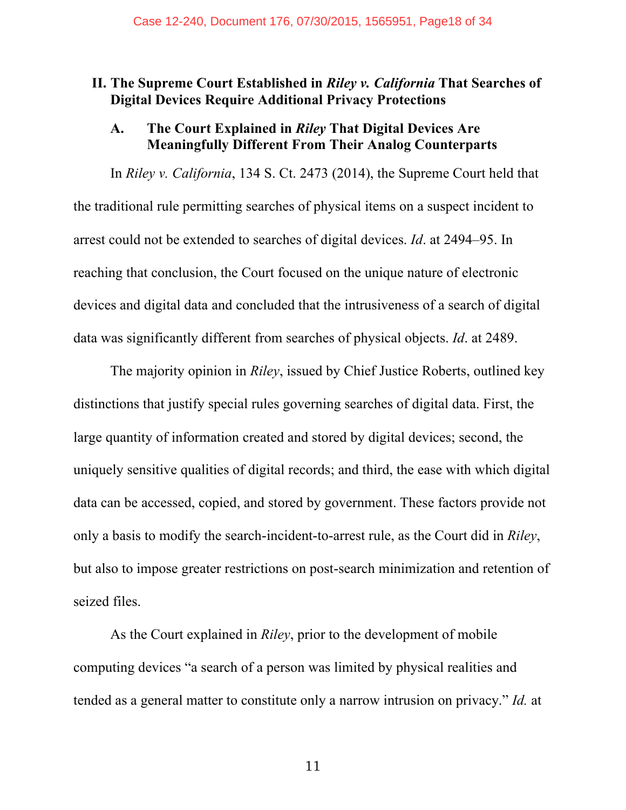# **II. The Supreme Court Established in** *Riley v. California* **That Searches of Digital Devices Require Additional Privacy Protections**

## **A. The Court Explained in** *Riley* **That Digital Devices Are Meaningfully Different From Their Analog Counterparts**

In *Riley v. California*, 134 S. Ct. 2473 (2014), the Supreme Court held that the traditional rule permitting searches of physical items on a suspect incident to arrest could not be extended to searches of digital devices. *Id*. at 2494–95. In reaching that conclusion, the Court focused on the unique nature of electronic devices and digital data and concluded that the intrusiveness of a search of digital data was significantly different from searches of physical objects. *Id*. at 2489.

The majority opinion in *Riley*, issued by Chief Justice Roberts, outlined key distinctions that justify special rules governing searches of digital data. First, the large quantity of information created and stored by digital devices; second, the uniquely sensitive qualities of digital records; and third, the ease with which digital data can be accessed, copied, and stored by government. These factors provide not only a basis to modify the search-incident-to-arrest rule, as the Court did in *Riley*, but also to impose greater restrictions on post-search minimization and retention of seized files.

As the Court explained in *Riley*, prior to the development of mobile computing devices "a search of a person was limited by physical realities and tended as a general matter to constitute only a narrow intrusion on privacy." *Id.* at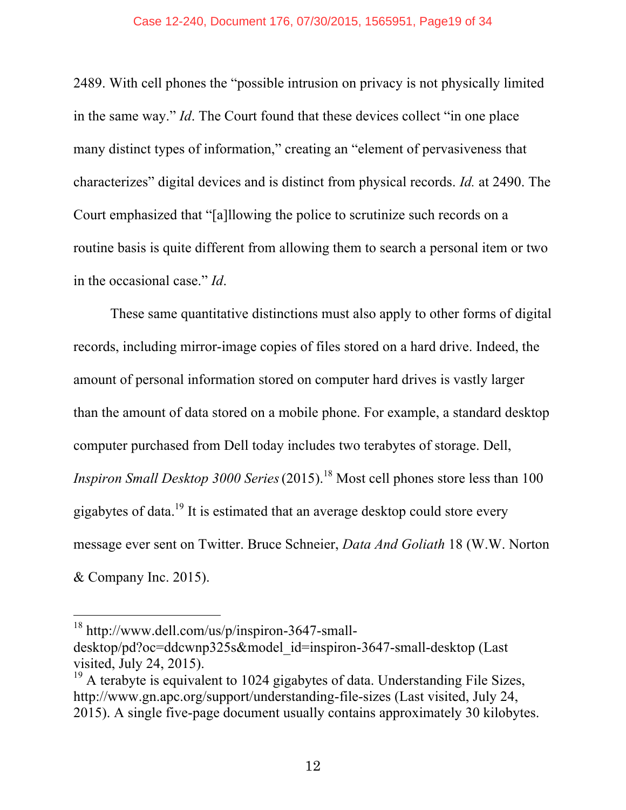2489. With cell phones the "possible intrusion on privacy is not physically limited in the same way." *Id*. The Court found that these devices collect "in one place many distinct types of information," creating an "element of pervasiveness that characterizes" digital devices and is distinct from physical records. *Id.* at 2490. The Court emphasized that "[a]llowing the police to scrutinize such records on a routine basis is quite different from allowing them to search a personal item or two in the occasional case." *Id*.

These same quantitative distinctions must also apply to other forms of digital records, including mirror-image copies of files stored on a hard drive. Indeed, the amount of personal information stored on computer hard drives is vastly larger than the amount of data stored on a mobile phone. For example, a standard desktop computer purchased from Dell today includes two terabytes of storage. Dell, *Inspiron Small Desktop 3000 Series*(2015). <sup>18</sup> Most cell phones store less than 100 gigabytes of data.<sup>19</sup> It is estimated that an average desktop could store every message ever sent on Twitter. Bruce Schneier, *Data And Goliath* 18 (W.W. Norton & Company Inc. 2015).

<sup>18</sup> http://www.dell.com/us/p/inspiron-3647-small-

desktop/pd?oc=ddcwnp325s&model\_id=inspiron-3647-small-desktop (Last visited, July 24, 2015).

 $19$  A terabyte is equivalent to 1024 gigabytes of data. Understanding File Sizes, http://www.gn.apc.org/support/understanding-file-sizes (Last visited, July 24, 2015). A single five-page document usually contains approximately 30 kilobytes.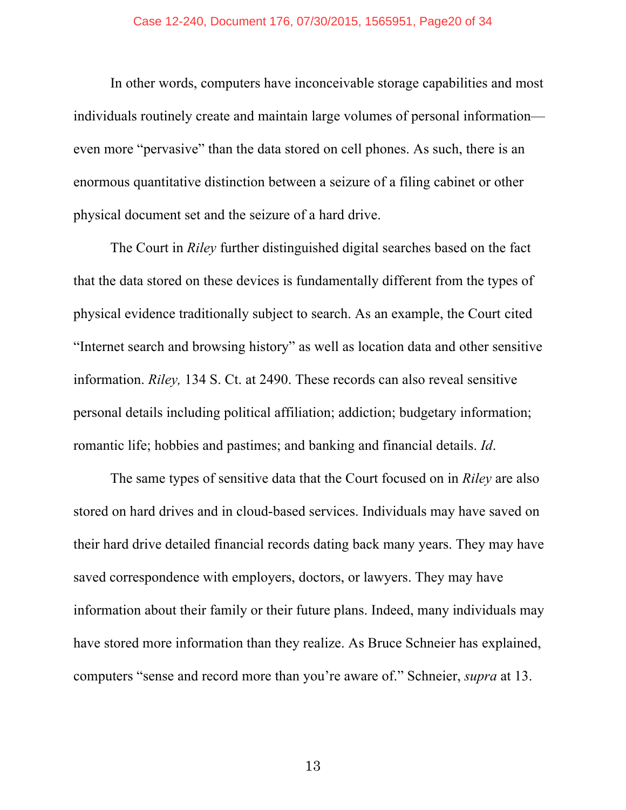In other words, computers have inconceivable storage capabilities and most individuals routinely create and maintain large volumes of personal information even more "pervasive" than the data stored on cell phones. As such, there is an enormous quantitative distinction between a seizure of a filing cabinet or other physical document set and the seizure of a hard drive.

The Court in *Riley* further distinguished digital searches based on the fact that the data stored on these devices is fundamentally different from the types of physical evidence traditionally subject to search. As an example, the Court cited "Internet search and browsing history" as well as location data and other sensitive information. *Riley,* 134 S. Ct. at 2490. These records can also reveal sensitive personal details including political affiliation; addiction; budgetary information; romantic life; hobbies and pastimes; and banking and financial details. *Id*.

The same types of sensitive data that the Court focused on in *Riley* are also stored on hard drives and in cloud-based services. Individuals may have saved on their hard drive detailed financial records dating back many years. They may have saved correspondence with employers, doctors, or lawyers. They may have information about their family or their future plans. Indeed, many individuals may have stored more information than they realize. As Bruce Schneier has explained, computers "sense and record more than you're aware of." Schneier, *supra* at 13.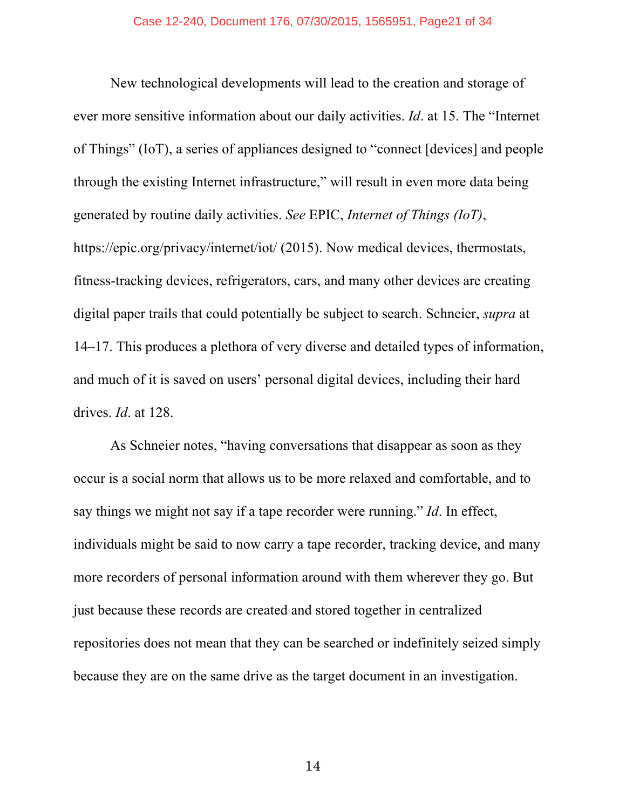New technological developments will lead to the creation and storage of ever more sensitive information about our daily activities. *Id*. at 15. The "Internet of Things" (IoT), a series of appliances designed to "connect [devices] and people through the existing Internet infrastructure," will result in even more data being generated by routine daily activities. *See* EPIC, *Internet of Things (IoT)*, https://epic.org/privacy/internet/iot/ (2015). Now medical devices, thermostats, fitness-tracking devices, refrigerators, cars, and many other devices are creating digital paper trails that could potentially be subject to search. Schneier, *supra* at 14–17. This produces a plethora of very diverse and detailed types of information, and much of it is saved on users' personal digital devices, including their hard drives. *Id*. at 128.

As Schneier notes, "having conversations that disappear as soon as they occur is a social norm that allows us to be more relaxed and comfortable, and to say things we might not say if a tape recorder were running." *Id*. In effect, individuals might be said to now carry a tape recorder, tracking device, and many more recorders of personal information around with them wherever they go. But just because these records are created and stored together in centralized repositories does not mean that they can be searched or indefinitely seized simply because they are on the same drive as the target document in an investigation.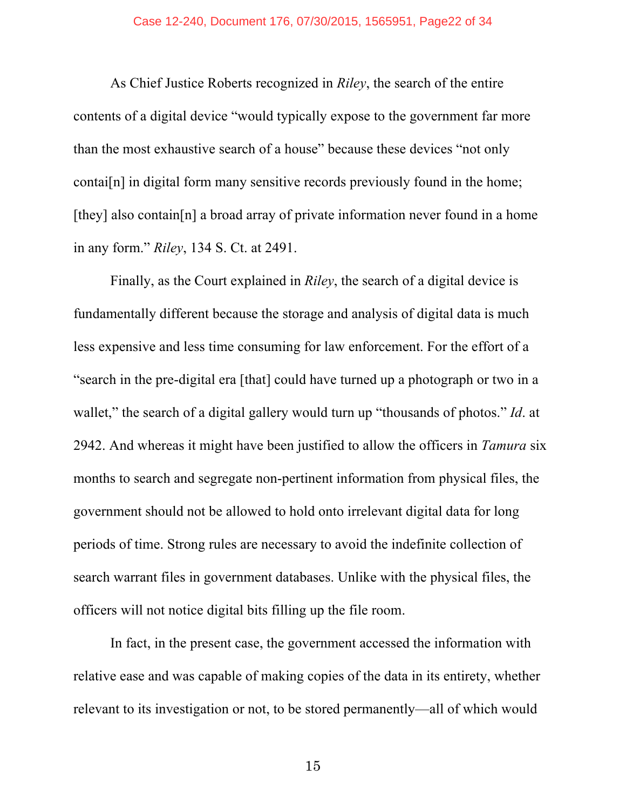As Chief Justice Roberts recognized in *Riley*, the search of the entire contents of a digital device "would typically expose to the government far more than the most exhaustive search of a house" because these devices "not only contai[n] in digital form many sensitive records previously found in the home; [they] also contain[n] a broad array of private information never found in a home in any form." *Riley*, 134 S. Ct. at 2491.

Finally, as the Court explained in *Riley*, the search of a digital device is fundamentally different because the storage and analysis of digital data is much less expensive and less time consuming for law enforcement. For the effort of a "search in the pre-digital era [that] could have turned up a photograph or two in a wallet," the search of a digital gallery would turn up "thousands of photos." *Id*. at 2942. And whereas it might have been justified to allow the officers in *Tamura* six months to search and segregate non-pertinent information from physical files, the government should not be allowed to hold onto irrelevant digital data for long periods of time. Strong rules are necessary to avoid the indefinite collection of search warrant files in government databases. Unlike with the physical files, the officers will not notice digital bits filling up the file room.

In fact, in the present case, the government accessed the information with relative ease and was capable of making copies of the data in its entirety, whether relevant to its investigation or not, to be stored permanently—all of which would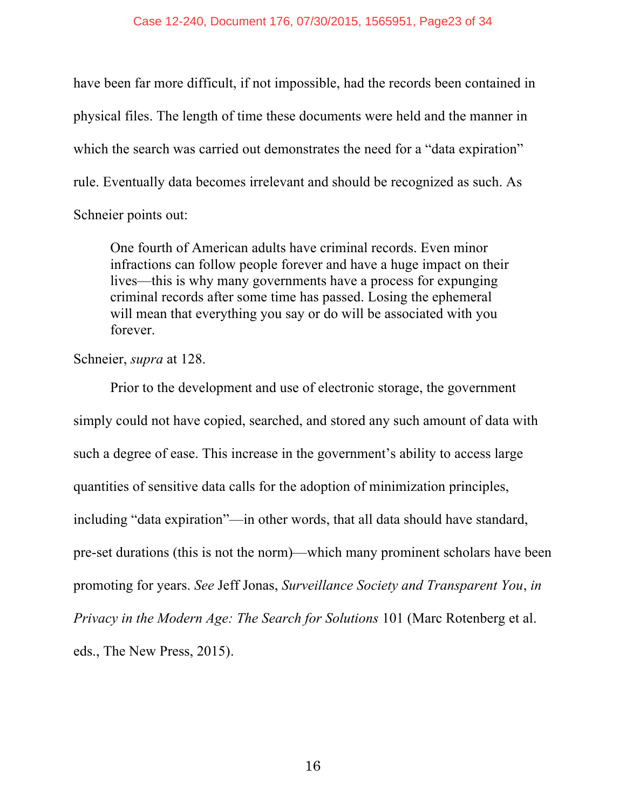have been far more difficult, if not impossible, had the records been contained in physical files. The length of time these documents were held and the manner in which the search was carried out demonstrates the need for a "data expiration" rule. Eventually data becomes irrelevant and should be recognized as such. As Schneier points out:

One fourth of American adults have criminal records. Even minor infractions can follow people forever and have a huge impact on their lives—this is why many governments have a process for expunging criminal records after some time has passed. Losing the ephemeral will mean that everything you say or do will be associated with you forever.

Schneier, *supra* at 128.

Prior to the development and use of electronic storage, the government simply could not have copied, searched, and stored any such amount of data with such a degree of ease. This increase in the government's ability to access large quantities of sensitive data calls for the adoption of minimization principles, including "data expiration"—in other words, that all data should have standard, pre-set durations (this is not the norm)—which many prominent scholars have been promoting for years. *See* Jeff Jonas, *Surveillance Society and Transparent You*, *in Privacy in the Modern Age: The Search for Solutions* 101 (Marc Rotenberg et al. eds., The New Press, 2015).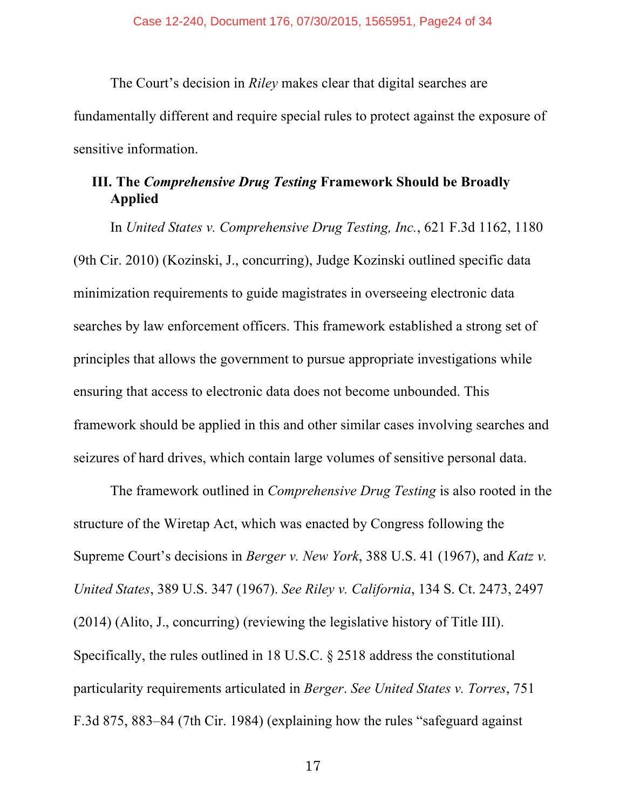The Court's decision in *Riley* makes clear that digital searches are fundamentally different and require special rules to protect against the exposure of sensitive information.

# **III. The** *Comprehensive Drug Testing* **Framework Should be Broadly Applied**

In *United States v. Comprehensive Drug Testing, Inc.*, 621 F.3d 1162, 1180 (9th Cir. 2010) (Kozinski, J., concurring), Judge Kozinski outlined specific data minimization requirements to guide magistrates in overseeing electronic data searches by law enforcement officers. This framework established a strong set of principles that allows the government to pursue appropriate investigations while ensuring that access to electronic data does not become unbounded. This framework should be applied in this and other similar cases involving searches and seizures of hard drives, which contain large volumes of sensitive personal data.

The framework outlined in *Comprehensive Drug Testing* is also rooted in the structure of the Wiretap Act, which was enacted by Congress following the Supreme Court's decisions in *Berger v. New York*, 388 U.S. 41 (1967), and *Katz v. United States*, 389 U.S. 347 (1967). *See Riley v. California*, 134 S. Ct. 2473, 2497 (2014) (Alito, J., concurring) (reviewing the legislative history of Title III). Specifically, the rules outlined in 18 U.S.C. § 2518 address the constitutional particularity requirements articulated in *Berger*. *See United States v. Torres*, 751 F.3d 875, 883–84 (7th Cir. 1984) (explaining how the rules "safeguard against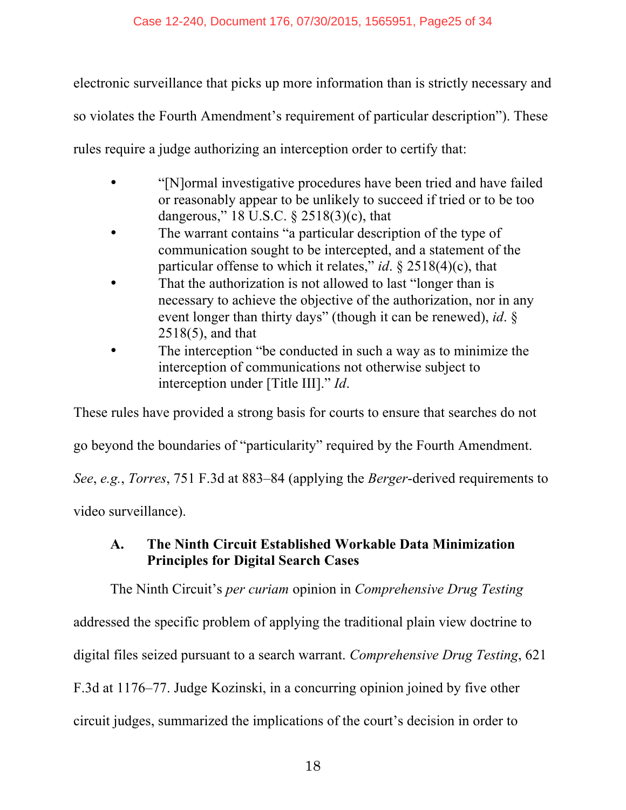electronic surveillance that picks up more information than is strictly necessary and so violates the Fourth Amendment's requirement of particular description"). These rules require a judge authorizing an interception order to certify that:

- "[N]ormal investigative procedures have been tried and have failed or reasonably appear to be unlikely to succeed if tried or to be too dangerous," 18 U.S.C. § 2518(3)(c), that
- The warrant contains "a particular description of the type of communication sought to be intercepted, and a statement of the particular offense to which it relates," *id*. § 2518(4)(c), that
- That the authorization is not allowed to last "longer than is necessary to achieve the objective of the authorization, nor in any event longer than thirty days" (though it can be renewed), *id*. § 2518(5), and that
- The interception "be conducted in such a way as to minimize the interception of communications not otherwise subject to interception under [Title III]." *Id*.

These rules have provided a strong basis for courts to ensure that searches do not

go beyond the boundaries of "particularity" required by the Fourth Amendment.

*See*, *e.g.*, *Torres*, 751 F.3d at 883–84 (applying the *Berger*-derived requirements to

video surveillance).

# **A. The Ninth Circuit Established Workable Data Minimization Principles for Digital Search Cases**

The Ninth Circuit's *per curiam* opinion in *Comprehensive Drug Testing*

addressed the specific problem of applying the traditional plain view doctrine to digital files seized pursuant to a search warrant. *Comprehensive Drug Testing*, 621 F.3d at 1176–77. Judge Kozinski, in a concurring opinion joined by five other circuit judges, summarized the implications of the court's decision in order to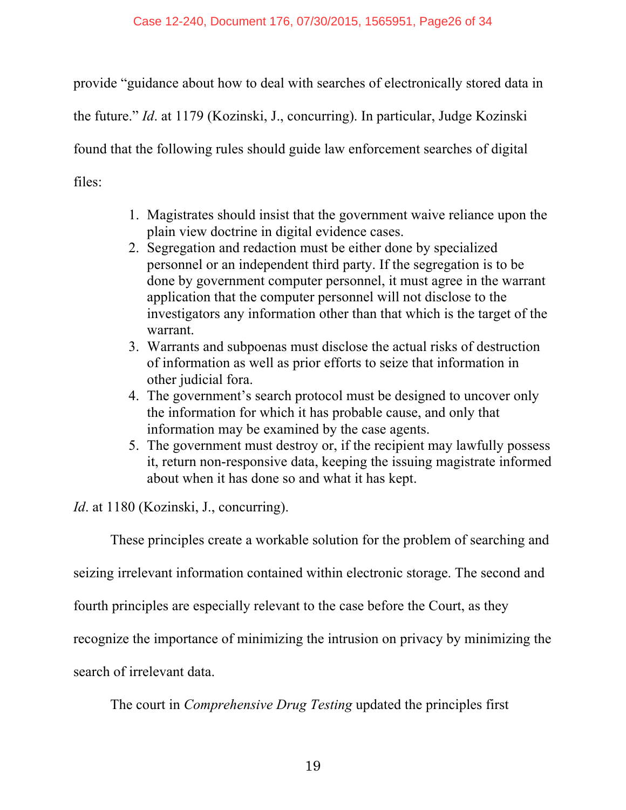provide "guidance about how to deal with searches of electronically stored data in the future." *Id*. at 1179 (Kozinski, J., concurring). In particular, Judge Kozinski found that the following rules should guide law enforcement searches of digital files:

- 1. Magistrates should insist that the government waive reliance upon the plain view doctrine in digital evidence cases.
- 2. Segregation and redaction must be either done by specialized personnel or an independent third party. If the segregation is to be done by government computer personnel, it must agree in the warrant application that the computer personnel will not disclose to the investigators any information other than that which is the target of the warrant.
- 3. Warrants and subpoenas must disclose the actual risks of destruction of information as well as prior efforts to seize that information in other judicial fora.
- 4. The government's search protocol must be designed to uncover only the information for which it has probable cause, and only that information may be examined by the case agents.
- 5. The government must destroy or, if the recipient may lawfully possess it, return non-responsive data, keeping the issuing magistrate informed about when it has done so and what it has kept.

*Id.* at 1180 (Kozinski, J., concurring).

These principles create a workable solution for the problem of searching and

seizing irrelevant information contained within electronic storage. The second and

fourth principles are especially relevant to the case before the Court, as they

recognize the importance of minimizing the intrusion on privacy by minimizing the

search of irrelevant data.

The court in *Comprehensive Drug Testing* updated the principles first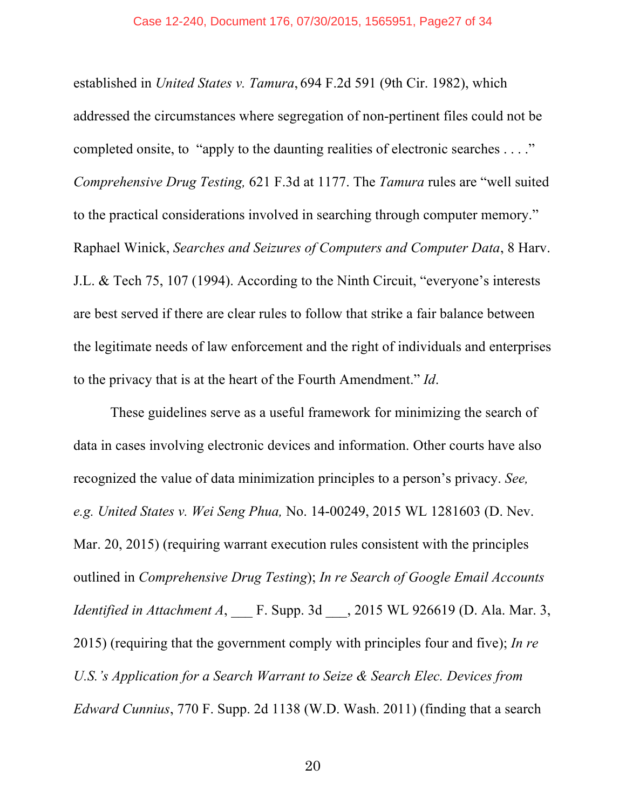established in *United States v. Tamura*, 694 F.2d 591 (9th Cir. 1982), which addressed the circumstances where segregation of non-pertinent files could not be completed onsite, to "apply to the daunting realities of electronic searches . . . ." *Comprehensive Drug Testing,* 621 F.3d at 1177. The *Tamura* rules are "well suited to the practical considerations involved in searching through computer memory." Raphael Winick, *Searches and Seizures of Computers and Computer Data*, 8 Harv. J.L. & Tech 75, 107 (1994). According to the Ninth Circuit, "everyone's interests are best served if there are clear rules to follow that strike a fair balance between the legitimate needs of law enforcement and the right of individuals and enterprises to the privacy that is at the heart of the Fourth Amendment." *Id*.

These guidelines serve as a useful framework for minimizing the search of data in cases involving electronic devices and information. Other courts have also recognized the value of data minimization principles to a person's privacy. *See, e.g. United States v. Wei Seng Phua,* No. 14-00249, 2015 WL 1281603 (D. Nev. Mar. 20, 2015) (requiring warrant execution rules consistent with the principles outlined in *Comprehensive Drug Testing*); *In re Search of Google Email Accounts Identified in Attachment A*, F. Supp. 3d , 2015 WL 926619 (D. Ala. Mar. 3, 2015) (requiring that the government comply with principles four and five); *In re U.S.'s Application for a Search Warrant to Seize & Search Elec. Devices from Edward Cunnius*, 770 F. Supp. 2d 1138 (W.D. Wash. 2011) (finding that a search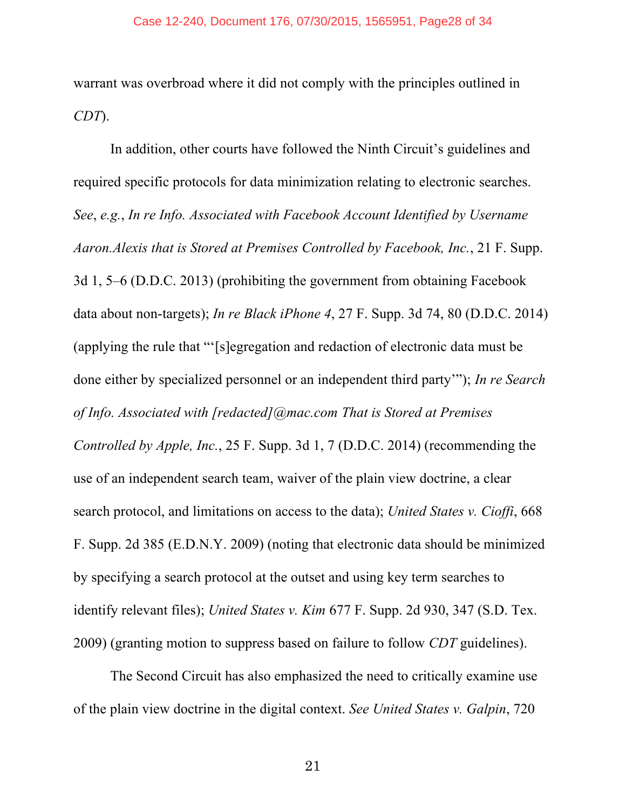warrant was overbroad where it did not comply with the principles outlined in *CDT*).

In addition, other courts have followed the Ninth Circuit's guidelines and required specific protocols for data minimization relating to electronic searches. *See*, *e.g.*, *In re Info. Associated with Facebook Account Identified by Username Aaron.Alexis that is Stored at Premises Controlled by Facebook, Inc.*, 21 F. Supp. 3d 1, 5–6 (D.D.C. 2013) (prohibiting the government from obtaining Facebook data about non-targets); *In re Black iPhone 4*, 27 F. Supp. 3d 74, 80 (D.D.C. 2014) (applying the rule that "'[s]egregation and redaction of electronic data must be done either by specialized personnel or an independent third party'"); *In re Search of Info. Associated with [redacted]@mac.com That is Stored at Premises Controlled by Apple, Inc.*, 25 F. Supp. 3d 1, 7 (D.D.C. 2014) (recommending the use of an independent search team, waiver of the plain view doctrine, a clear search protocol, and limitations on access to the data); *United States v. Cioffi*, 668 F. Supp. 2d 385 (E.D.N.Y. 2009) (noting that electronic data should be minimized by specifying a search protocol at the outset and using key term searches to identify relevant files); *United States v. Kim* 677 F. Supp. 2d 930, 347 (S.D. Tex. 2009) (granting motion to suppress based on failure to follow *CDT* guidelines).

The Second Circuit has also emphasized the need to critically examine use of the plain view doctrine in the digital context. *See United States v. Galpin*, 720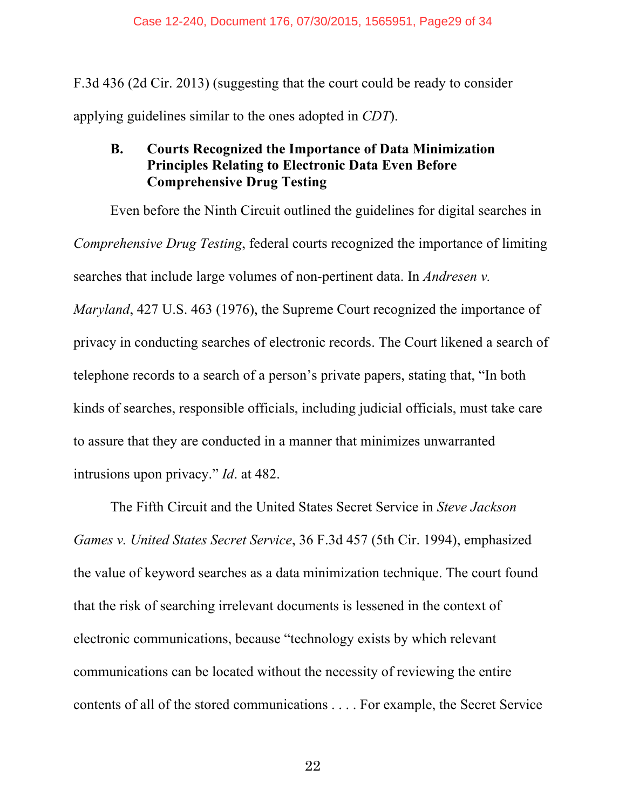F.3d 436 (2d Cir. 2013) (suggesting that the court could be ready to consider applying guidelines similar to the ones adopted in *CDT*).

## **B. Courts Recognized the Importance of Data Minimization Principles Relating to Electronic Data Even Before Comprehensive Drug Testing**

Even before the Ninth Circuit outlined the guidelines for digital searches in *Comprehensive Drug Testing*, federal courts recognized the importance of limiting searches that include large volumes of non-pertinent data. In *Andresen v. Maryland*, 427 U.S. 463 (1976), the Supreme Court recognized the importance of privacy in conducting searches of electronic records. The Court likened a search of telephone records to a search of a person's private papers, stating that, "In both kinds of searches, responsible officials, including judicial officials, must take care to assure that they are conducted in a manner that minimizes unwarranted intrusions upon privacy." *Id*. at 482.

The Fifth Circuit and the United States Secret Service in *Steve Jackson Games v. United States Secret Service*, 36 F.3d 457 (5th Cir. 1994), emphasized the value of keyword searches as a data minimization technique. The court found that the risk of searching irrelevant documents is lessened in the context of electronic communications, because "technology exists by which relevant communications can be located without the necessity of reviewing the entire contents of all of the stored communications . . . . For example, the Secret Service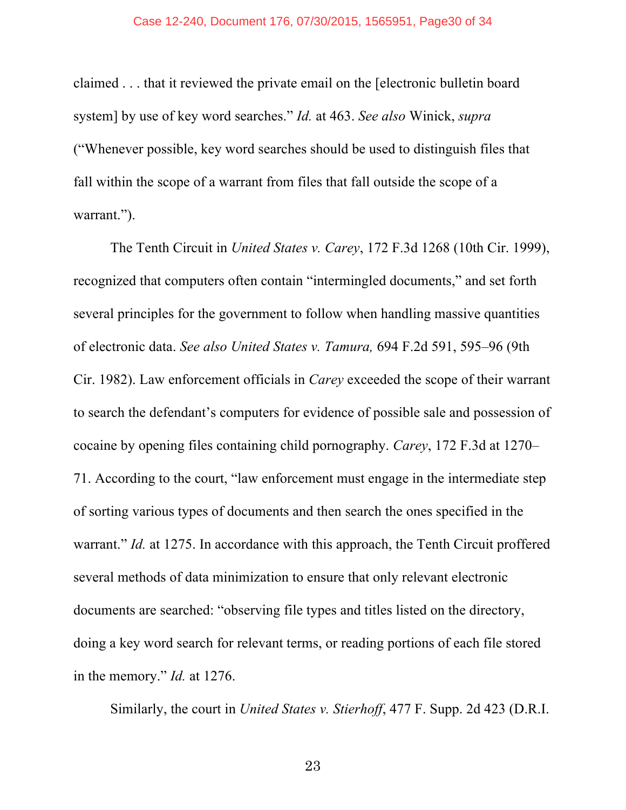claimed . . . that it reviewed the private email on the [electronic bulletin board system] by use of key word searches." *Id.* at 463. *See also* Winick, *supra* ("Whenever possible, key word searches should be used to distinguish files that fall within the scope of a warrant from files that fall outside the scope of a warrant.").

The Tenth Circuit in *United States v. Carey*, 172 F.3d 1268 (10th Cir. 1999), recognized that computers often contain "intermingled documents," and set forth several principles for the government to follow when handling massive quantities of electronic data. *See also United States v. Tamura,* 694 F.2d 591, 595–96 (9th Cir. 1982). Law enforcement officials in *Carey* exceeded the scope of their warrant to search the defendant's computers for evidence of possible sale and possession of cocaine by opening files containing child pornography. *Carey*, 172 F.3d at 1270– 71. According to the court, "law enforcement must engage in the intermediate step of sorting various types of documents and then search the ones specified in the warrant." *Id.* at 1275. In accordance with this approach, the Tenth Circuit proffered several methods of data minimization to ensure that only relevant electronic documents are searched: "observing file types and titles listed on the directory, doing a key word search for relevant terms, or reading portions of each file stored in the memory." *Id.* at 1276.

Similarly, the court in *United States v. Stierhoff*, 477 F. Supp. 2d 423 (D.R.I.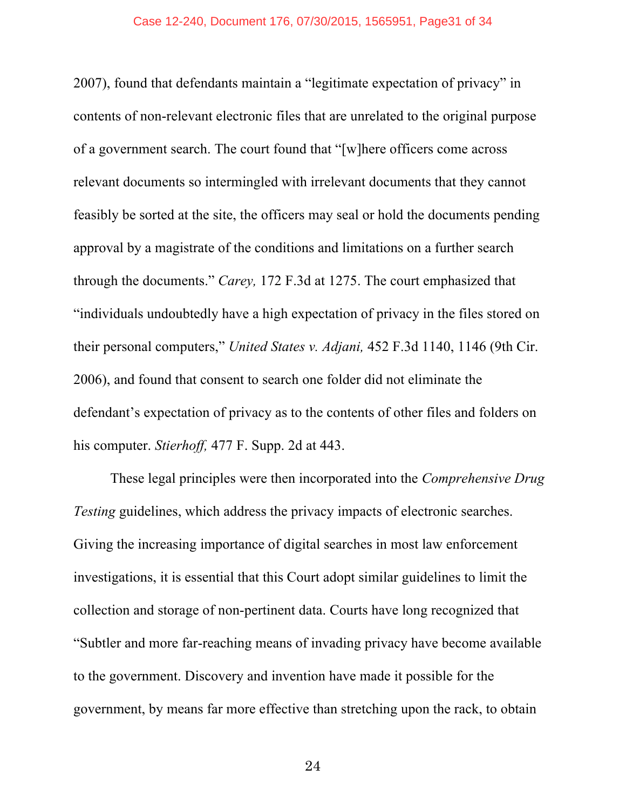2007), found that defendants maintain a "legitimate expectation of privacy" in contents of non-relevant electronic files that are unrelated to the original purpose of a government search. The court found that "[w]here officers come across relevant documents so intermingled with irrelevant documents that they cannot feasibly be sorted at the site, the officers may seal or hold the documents pending approval by a magistrate of the conditions and limitations on a further search through the documents." *Carey,* 172 F.3d at 1275. The court emphasized that "individuals undoubtedly have a high expectation of privacy in the files stored on their personal computers," *United States v. Adjani,* 452 F.3d 1140, 1146 (9th Cir. 2006), and found that consent to search one folder did not eliminate the defendant's expectation of privacy as to the contents of other files and folders on his computer. *Stierhoff,* 477 F. Supp. 2d at 443.

These legal principles were then incorporated into the *Comprehensive Drug Testing* guidelines, which address the privacy impacts of electronic searches. Giving the increasing importance of digital searches in most law enforcement investigations, it is essential that this Court adopt similar guidelines to limit the collection and storage of non-pertinent data. Courts have long recognized that "Subtler and more far-reaching means of invading privacy have become available to the government. Discovery and invention have made it possible for the government, by means far more effective than stretching upon the rack, to obtain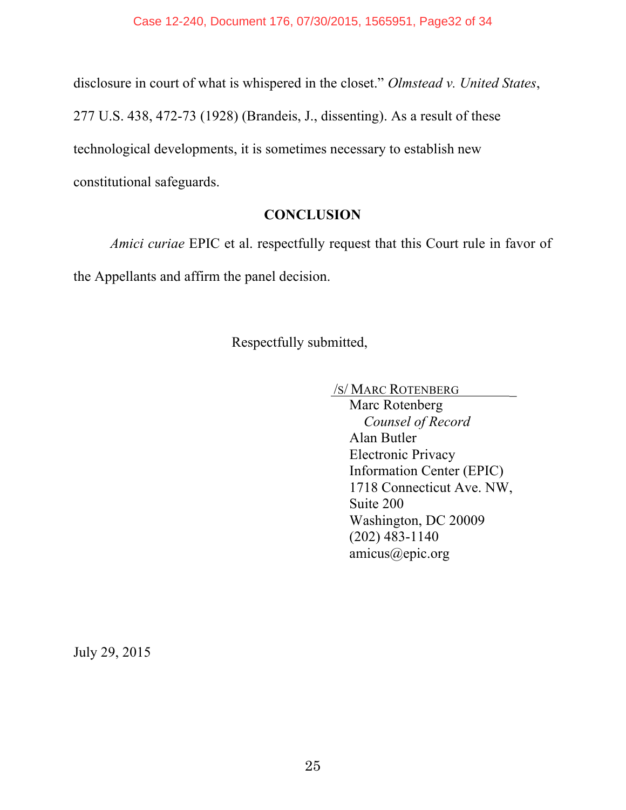disclosure in court of what is whispered in the closet." *Olmstead v. United States*,

277 U.S. 438, 472-73 (1928) (Brandeis, J., dissenting). As a result of these

technological developments, it is sometimes necessary to establish new

constitutional safeguards.

## **CONCLUSION**

*Amici curiae* EPIC et al. respectfully request that this Court rule in favor of the Appellants and affirm the panel decision.

Respectfully submitted,

/S/ MARC ROTENBERG \_

Marc Rotenberg *Counsel of Record* Alan Butler Electronic Privacy Information Center (EPIC) 1718 Connecticut Ave. NW, Suite 200 Washington, DC 20009 (202) 483-1140 amicus@epic.org

July 29, 2015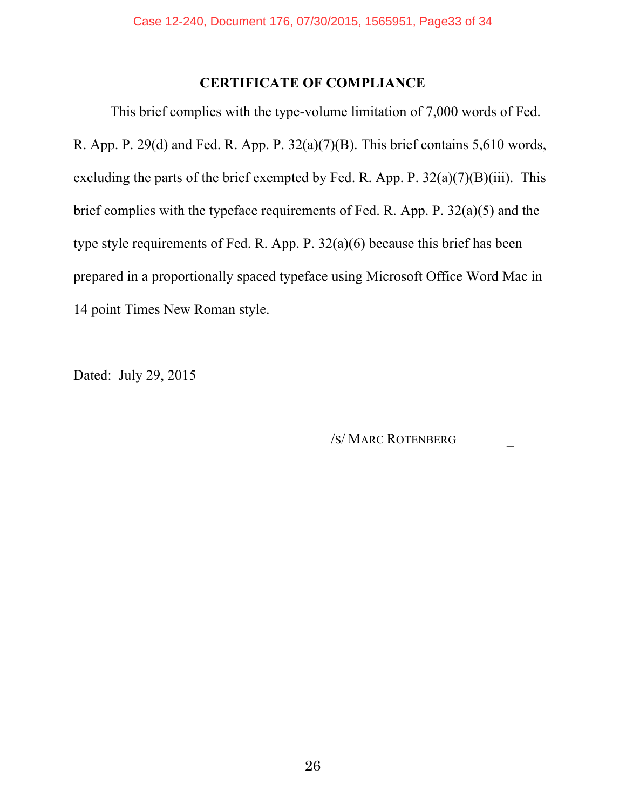## **CERTIFICATE OF COMPLIANCE**

This brief complies with the type-volume limitation of 7,000 words of Fed. R. App. P. 29(d) and Fed. R. App. P.  $32(a)(7)(B)$ . This brief contains 5,610 words, excluding the parts of the brief exempted by Fed. R. App. P.  $32(a)(7)(B)(iii)$ . This brief complies with the typeface requirements of Fed. R. App. P. 32(a)(5) and the type style requirements of Fed. R. App. P. 32(a)(6) because this brief has been prepared in a proportionally spaced typeface using Microsoft Office Word Mac in 14 point Times New Roman style.

Dated: July 29, 2015

/S/ MARC ROTENBERG \_